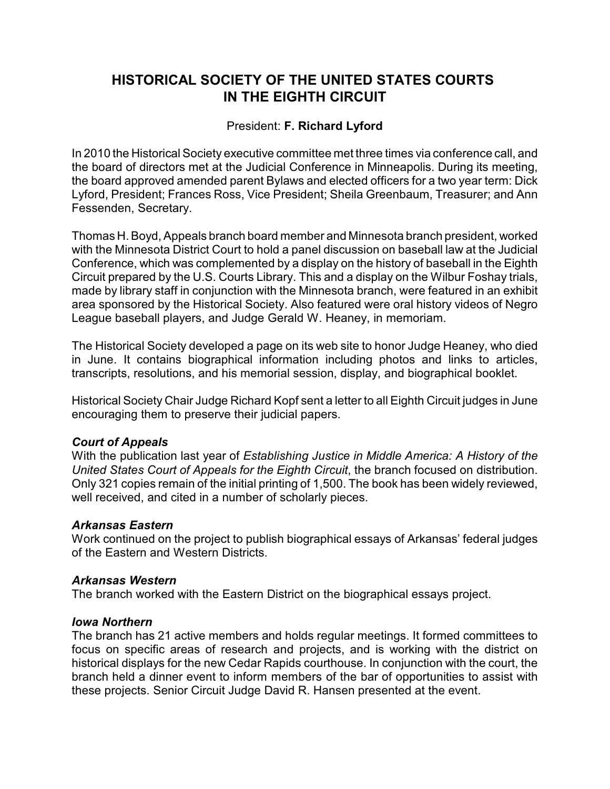# **HISTORICAL SOCIETY OF THE UNITED STATES COURTS IN THE EIGHTH CIRCUIT**

## President: **F. Richard Lyford**

In 2010 the Historical Society executive committee met three times via conference call, and the board of directors met at the Judicial Conference in Minneapolis. During its meeting, the board approved amended parent Bylaws and elected officers for a two year term: Dick Lyford, President; Frances Ross, Vice President; Sheila Greenbaum, Treasurer; and Ann Fessenden, Secretary.

Thomas H.Boyd, Appeals branch board member and Minnesota branch president, worked with the Minnesota District Court to hold a panel discussion on baseball law at the Judicial Conference, which was complemented by a display on the history of baseball in the Eighth Circuit prepared by the U.S. Courts Library. This and a display on the Wilbur Foshay trials, made by library staff in conjunction with the Minnesota branch, were featured in an exhibit area sponsored by the Historical Society. Also featured were oral history videos of Negro League baseball players, and Judge Gerald W. Heaney, in memoriam.

The Historical Society developed a page on its web site to honor Judge Heaney, who died in June. It contains biographical information including photos and links to articles, transcripts, resolutions, and his memorial session, display, and biographical booklet.

Historical Society Chair Judge Richard Kopf sent a letter to all Eighth Circuit judges in June encouraging them to preserve their judicial papers.

## *Court of Appeals*

With the publication last year of *Establishing Justice in Middle America: A History of the United States Court of Appeals for the Eighth Circuit*, the branch focused on distribution. Only 321 copies remain of the initial printing of 1,500. The book has been widely reviewed, well received, and cited in a number of scholarly pieces.

## *Arkansas Eastern*

Work continued on the project to publish biographical essays of Arkansas' federal judges of the Eastern and Western Districts.

## *Arkansas Western*

The branch worked with the Eastern District on the biographical essays project.

#### *Iowa Northern*

The branch has 21 active members and holds regular meetings. It formed committees to focus on specific areas of research and projects, and is working with the district on historical displays for the new Cedar Rapids courthouse. In conjunction with the court, the branch held a dinner event to inform members of the bar of opportunities to assist with these projects. Senior Circuit Judge David R. Hansen presented at the event.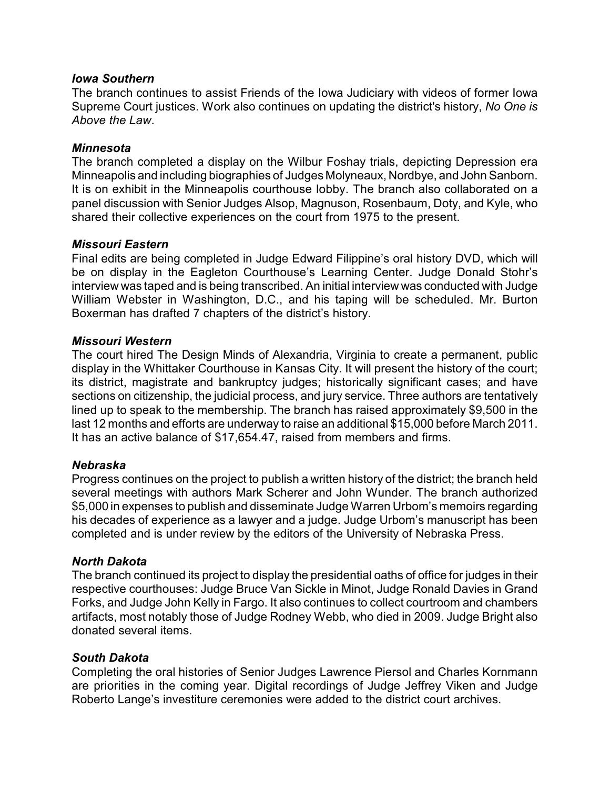#### *Iowa Southern*

The branch continues to assist Friends of the Iowa Judiciary with videos of former Iowa Supreme Court justices. Work also continues on updating the district's history, *No One is Above the Law*.

## *Minnesota*

The branch completed a display on the Wilbur Foshay trials, depicting Depression era Minneapolis and including biographies of Judges Molyneaux, Nordbye, and John Sanborn. It is on exhibit in the Minneapolis courthouse lobby. The branch also collaborated on a panel discussion with Senior Judges Alsop, Magnuson, Rosenbaum, Doty, and Kyle, who shared their collective experiences on the court from 1975 to the present.

## *Missouri Eastern*

Final edits are being completed in Judge Edward Filippine's oral history DVD, which will be on display in the Eagleton Courthouse's Learning Center. Judge Donald Stohr's interview was taped and is being transcribed. An initial interview was conducted with Judge William Webster in Washington, D.C., and his taping will be scheduled. Mr. Burton Boxerman has drafted 7 chapters of the district's history.

## *Missouri Western*

The court hired The Design Minds of Alexandria, Virginia to create a permanent, public display in the Whittaker Courthouse in Kansas City. It will present the history of the court; its district, magistrate and bankruptcy judges; historically significant cases; and have sections on citizenship, the judicial process, and jury service. Three authors are tentatively lined up to speak to the membership. The branch has raised approximately \$9,500 in the last 12 months and efforts are underway to raise an additional \$15,000 before March 2011. It has an active balance of \$17,654.47, raised from members and firms.

#### *Nebraska*

Progress continues on the project to publish a written history of the district; the branch held several meetings with authors Mark Scherer and John Wunder. The branch authorized \$5,000 in expenses to publish and disseminate Judge Warren Urbom's memoirs regarding his decades of experience as a lawyer and a judge. Judge Urbom's manuscript has been completed and is under review by the editors of the University of Nebraska Press.

#### *North Dakota*

The branch continued its project to display the presidential oaths of office for judges in their respective courthouses: Judge Bruce Van Sickle in Minot, Judge Ronald Davies in Grand Forks, and Judge John Kelly in Fargo. It also continues to collect courtroom and chambers artifacts, most notably those of Judge Rodney Webb, who died in 2009. Judge Bright also donated several items.

#### *South Dakota*

Completing the oral histories of Senior Judges Lawrence Piersol and Charles Kornmann are priorities in the coming year. Digital recordings of Judge Jeffrey Viken and Judge Roberto Lange's investiture ceremonies were added to the district court archives.